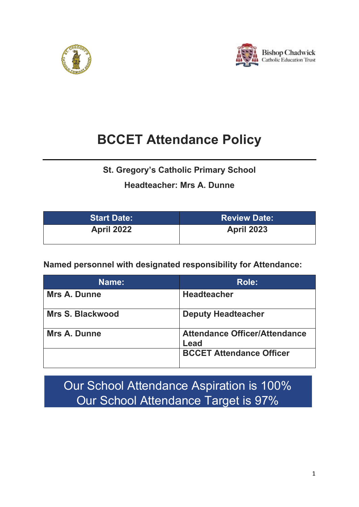



# **BCCET Attendance Policy**

**St. Gregory's Catholic Primary School**

# **Headteacher: Mrs A. Dunne**

| <b>Start Date:</b> | <b>Review Date:</b> |
|--------------------|---------------------|
| <b>April 2022</b>  | <b>April 2023</b>   |

**Named personnel with designated responsibility for Attendance:** 

| Name:               | Role:                                        |
|---------------------|----------------------------------------------|
| <b>Mrs A. Dunne</b> | <b>Headteacher</b>                           |
| Mrs S. Blackwood    | <b>Deputy Headteacher</b>                    |
| <b>Mrs A. Dunne</b> | <b>Attendance Officer/Attendance</b><br>Lead |
|                     | <b>BCCET Attendance Officer</b>              |

Our School Attendance Aspiration is 100% Our School Attendance Target is 97%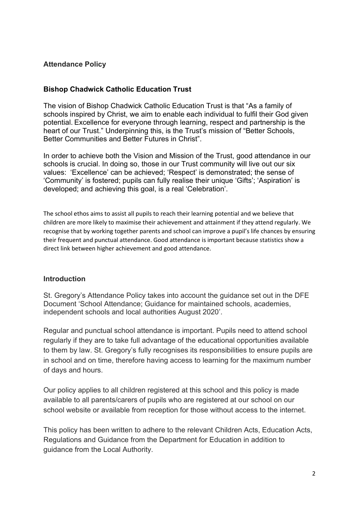#### **Attendance Policy**

#### **Bishop Chadwick Catholic Education Trust**

The vision of Bishop Chadwick Catholic Education Trust is that "As a family of schools inspired by Christ, we aim to enable each individual to fulfil their God given potential. Excellence for everyone through learning, respect and partnership is the heart of our Trust." Underpinning this, is the Trust's mission of "Better Schools, Better Communities and Better Futures in Christ".

In order to achieve both the Vision and Mission of the Trust, good attendance in our schools is crucial. In doing so, those in our Trust community will live out our six values: 'Excellence' can be achieved; 'Respect' is demonstrated; the sense of 'Community' is fostered; pupils can fully realise their unique 'Gifts'; 'Aspiration' is developed; and achieving this goal, is a real 'Celebration'.

The school ethos aims to assist all pupils to reach their learning potential and we believe that children are more likely to maximise their achievement and attainment if they attend regularly. We recognise that by working together parents and school can improve a pupil's life chances by ensuring their frequent and punctual attendance. Good attendance is important because statistics show a direct link between higher achievement and good attendance.

#### **Introduction**

St. Gregory's Attendance Policy takes into account the guidance set out in the DFE Document 'School Attendance; Guidance for maintained schools, academies, independent schools and local authorities August 2020'.

Regular and punctual school attendance is important. Pupils need to attend school regularly if they are to take full advantage of the educational opportunities available to them by law. St. Gregory's fully recognises its responsibilities to ensure pupils are in school and on time, therefore having access to learning for the maximum number of days and hours.

Our policy applies to all children registered at this school and this policy is made available to all parents/carers of pupils who are registered at our school on our school website or available from reception for those without access to the internet.

This policy has been written to adhere to the relevant Children Acts, Education Acts, Regulations and Guidance from the Department for Education in addition to guidance from the Local Authority.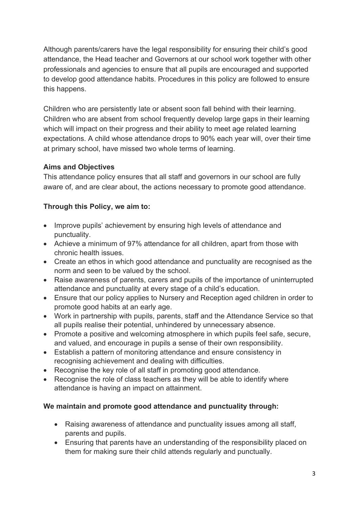Although parents/carers have the legal responsibility for ensuring their child's good attendance, the Head teacher and Governors at our school work together with other professionals and agencies to ensure that all pupils are encouraged and supported to develop good attendance habits. Procedures in this policy are followed to ensure this happens.

Children who are persistently late or absent soon fall behind with their learning. Children who are absent from school frequently develop large gaps in their learning which will impact on their progress and their ability to meet age related learning expectations. A child whose attendance drops to 90% each year will, over their time at primary school, have missed two whole terms of learning.

#### **Aims and Objectives**

This attendance policy ensures that all staff and governors in our school are fully aware of, and are clear about, the actions necessary to promote good attendance.

## **Through this Policy, we aim to:**

- Improve pupils' achievement by ensuring high levels of attendance and punctuality.
- Achieve a minimum of 97% attendance for all children, apart from those with chronic health issues.
- Create an ethos in which good attendance and punctuality are recognised as the norm and seen to be valued by the school.
- Raise awareness of parents, carers and pupils of the importance of uninterrupted attendance and punctuality at every stage of a child's education.
- Ensure that our policy applies to Nursery and Reception aged children in order to promote good habits at an early age.
- Work in partnership with pupils, parents, staff and the Attendance Service so that all pupils realise their potential, unhindered by unnecessary absence.
- Promote a positive and welcoming atmosphere in which pupils feel safe, secure, and valued, and encourage in pupils a sense of their own responsibility.
- Establish a pattern of monitoring attendance and ensure consistency in recognising achievement and dealing with difficulties.
- Recognise the key role of all staff in promoting good attendance.
- Recognise the role of class teachers as they will be able to identify where attendance is having an impact on attainment.

## **We maintain and promote good attendance and punctuality through:**

- Raising awareness of attendance and punctuality issues among all staff, parents and pupils.
- Ensuring that parents have an understanding of the responsibility placed on them for making sure their child attends regularly and punctually.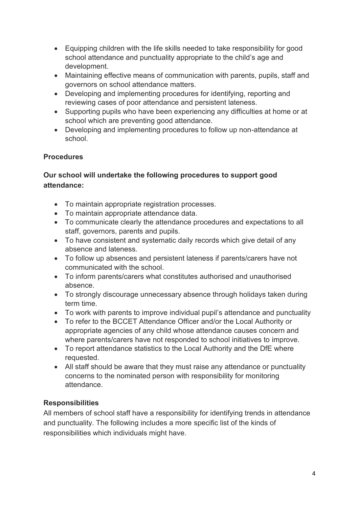- Equipping children with the life skills needed to take responsibility for good school attendance and punctuality appropriate to the child's age and development.
- Maintaining effective means of communication with parents, pupils, staff and governors on school attendance matters.
- Developing and implementing procedures for identifying, reporting and reviewing cases of poor attendance and persistent lateness.
- Supporting pupils who have been experiencing any difficulties at home or at school which are preventing good attendance.
- Developing and implementing procedures to follow up non-attendance at school.

#### **Procedures**

#### **Our school will undertake the following procedures to support good attendance:**

- To maintain appropriate registration processes.
- To maintain appropriate attendance data.
- To communicate clearly the attendance procedures and expectations to all staff, governors, parents and pupils.
- To have consistent and systematic daily records which give detail of any absence and lateness.
- To follow up absences and persistent lateness if parents/carers have not communicated with the school.
- To inform parents/carers what constitutes authorised and unauthorised absence.
- To strongly discourage unnecessary absence through holidays taken during term time.
- To work with parents to improve individual pupil's attendance and punctuality
- To refer to the BCCET Attendance Officer and/or the Local Authority or appropriate agencies of any child whose attendance causes concern and where parents/carers have not responded to school initiatives to improve.
- To report attendance statistics to the Local Authority and the DfE where requested.
- All staff should be aware that they must raise any attendance or punctuality concerns to the nominated person with responsibility for monitoring attendance.

#### **Responsibilities**

All members of school staff have a responsibility for identifying trends in attendance and punctuality. The following includes a more specific list of the kinds of responsibilities which individuals might have.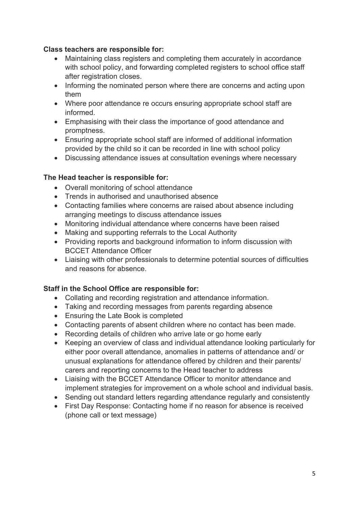#### **Class teachers are responsible for:**

- Maintaining class registers and completing them accurately in accordance with school policy, and forwarding completed registers to school office staff after registration closes.
- Informing the nominated person where there are concerns and acting upon them
- Where poor attendance re occurs ensuring appropriate school staff are informed.
- Emphasising with their class the importance of good attendance and promptness.
- Ensuring appropriate school staff are informed of additional information provided by the child so it can be recorded in line with school policy
- Discussing attendance issues at consultation evenings where necessary

#### **The Head teacher is responsible for:**

- Overall monitoring of school attendance
- Trends in authorised and unauthorised absence
- Contacting families where concerns are raised about absence including arranging meetings to discuss attendance issues
- Monitoring individual attendance where concerns have been raised
- Making and supporting referrals to the Local Authority
- Providing reports and background information to inform discussion with BCCET Attendance Officer
- Liaising with other professionals to determine potential sources of difficulties and reasons for absence.

## **Staff in the School Office are responsible for:**

- Collating and recording registration and attendance information.
- Taking and recording messages from parents regarding absence
- Ensuring the Late Book is completed
- Contacting parents of absent children where no contact has been made.
- Recording details of children who arrive late or go home early
- Keeping an overview of class and individual attendance looking particularly for either poor overall attendance, anomalies in patterns of attendance and/ or unusual explanations for attendance offered by children and their parents/ carers and reporting concerns to the Head teacher to address
- Liaising with the BCCET Attendance Officer to monitor attendance and implement strategies for improvement on a whole school and individual basis.
- Sending out standard letters regarding attendance regularly and consistently
- First Day Response: Contacting home if no reason for absence is received (phone call or text message)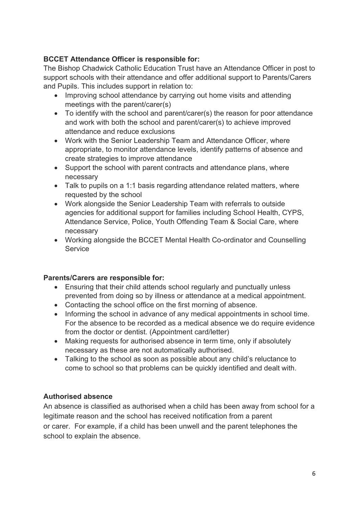## **BCCET Attendance Officer is responsible for:**

The Bishop Chadwick Catholic Education Trust have an Attendance Officer in post to support schools with their attendance and offer additional support to Parents/Carers and Pupils. This includes support in relation to:

- Improving school attendance by carrying out home visits and attending meetings with the parent/carer(s)
- To identify with the school and parent/carer(s) the reason for poor attendance and work with both the school and parent/carer(s) to achieve improved attendance and reduce exclusions
- Work with the Senior Leadership Team and Attendance Officer, where appropriate, to monitor attendance levels, identify patterns of absence and create strategies to improve attendance
- Support the school with parent contracts and attendance plans, where necessary
- Talk to pupils on a 1:1 basis regarding attendance related matters, where requested by the school
- Work alongside the Senior Leadership Team with referrals to outside agencies for additional support for families including School Health, CYPS, Attendance Service, Police, Youth Offending Team & Social Care, where necessary
- Working alongside the BCCET Mental Health Co-ordinator and Counselling **Service**

#### **Parents/Carers are responsible for:**

- Ensuring that their child attends school regularly and punctually unless prevented from doing so by illness or attendance at a medical appointment.
- Contacting the school office on the first morning of absence.
- Informing the school in advance of any medical appointments in school time. For the absence to be recorded as a medical absence we do require evidence from the doctor or dentist. (Appointment card/letter)
- Making requests for authorised absence in term time, only if absolutely necessary as these are not automatically authorised.
- Talking to the school as soon as possible about any child's reluctance to come to school so that problems can be quickly identified and dealt with.

#### **Authorised absence**

An absence is classified as authorised when a child has been away from school for a legitimate reason and the school has received notification from a parent or carer. For example, if a child has been unwell and the parent telephones the school to explain the absence.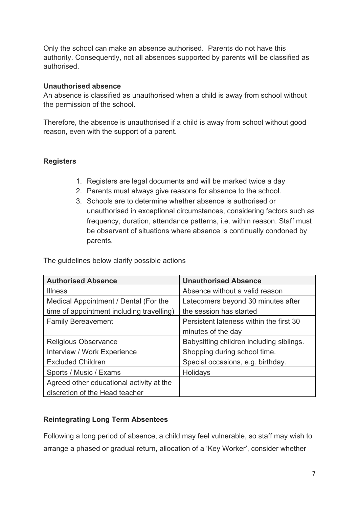Only the school can make an absence authorised. Parents do not have this authority. Consequently, not all absences supported by parents will be classified as authorised.

#### **Unauthorised absence**

An absence is classified as unauthorised when a child is away from school without the permission of the school.

Therefore, the absence is unauthorised if a child is away from school without good reason, even with the support of a parent.

#### **Registers**

- 1. Registers are legal documents and will be marked twice a day
- 2. Parents must always give reasons for absence to the school.
- 3. Schools are to determine whether absence is authorised or unauthorised in exceptional circumstances, considering factors such as frequency, duration, attendance patterns, i.e. within reason. Staff must be observant of situations where absence is continually condoned by parents.

The guidelines below clarify possible actions

| <b>Authorised Absence</b>                 | <b>Unauthorised Absence</b>              |  |
|-------------------------------------------|------------------------------------------|--|
| <b>Illness</b>                            | Absence without a valid reason           |  |
| Medical Appointment / Dental (For the     | Latecomers beyond 30 minutes after       |  |
| time of appointment including travelling) | the session has started                  |  |
| <b>Family Bereavement</b>                 | Persistent lateness within the first 30  |  |
|                                           | minutes of the day                       |  |
| Religious Observance                      | Babysitting children including siblings. |  |
| Interview / Work Experience               | Shopping during school time.             |  |
| <b>Excluded Children</b>                  | Special occasions, e.g. birthday.        |  |
| Sports / Music / Exams                    | Holidays                                 |  |
| Agreed other educational activity at the  |                                          |  |
| discretion of the Head teacher            |                                          |  |

#### **Reintegrating Long Term Absentees**

Following a long period of absence, a child may feel vulnerable, so staff may wish to arrange a phased or gradual return, allocation of a 'Key Worker', consider whether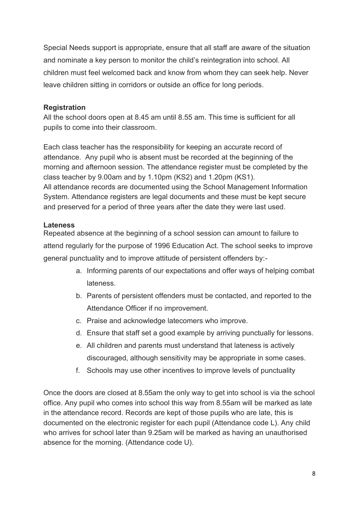Special Needs support is appropriate, ensure that all staff are aware of the situation and nominate a key person to monitor the child's reintegration into school. All children must feel welcomed back and know from whom they can seek help. Never leave children sitting in corridors or outside an office for long periods.

## **Registration**

All the school doors open at 8.45 am until 8.55 am. This time is sufficient for all pupils to come into their classroom.

Each class teacher has the responsibility for keeping an accurate record of attendance. Any pupil who is absent must be recorded at the beginning of the morning and afternoon session. The attendance register must be completed by the class teacher by 9.00am and by 1.10pm (KS2) and 1.20pm (KS1). All attendance records are documented using the School Management Information System. Attendance registers are legal documents and these must be kept secure and preserved for a period of three years after the date they were last used.

## **Lateness**

Repeated absence at the beginning of a school session can amount to failure to attend regularly for the purpose of 1996 Education Act. The school seeks to improve general punctuality and to improve attitude of persistent offenders by:-

- a. Informing parents of our expectations and offer ways of helping combat lateness.
- b. Parents of persistent offenders must be contacted, and reported to the Attendance Officer if no improvement.
- c. Praise and acknowledge latecomers who improve.
- d. Ensure that staff set a good example by arriving punctually for lessons.
- e. All children and parents must understand that lateness is actively discouraged, although sensitivity may be appropriate in some cases.
- f. Schools may use other incentives to improve levels of punctuality

Once the doors are closed at 8.55am the only way to get into school is via the school office. Any pupil who comes into school this way from 8.55am will be marked as late in the attendance record. Records are kept of those pupils who are late, this is documented on the electronic register for each pupil (Attendance code L). Any child who arrives for school later than 9.25am will be marked as having an unauthorised absence for the morning. (Attendance code U).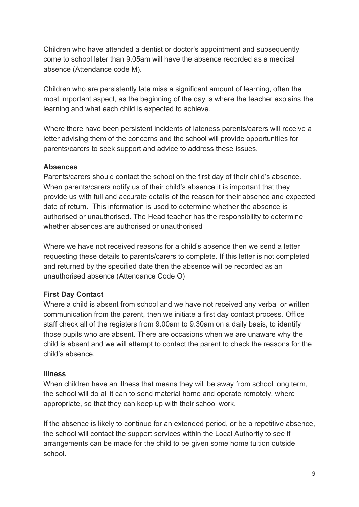Children who have attended a dentist or doctor's appointment and subsequently come to school later than 9.05am will have the absence recorded as a medical absence (Attendance code M).

Children who are persistently late miss a significant amount of learning, often the most important aspect, as the beginning of the day is where the teacher explains the learning and what each child is expected to achieve.

Where there have been persistent incidents of lateness parents/carers will receive a letter advising them of the concerns and the school will provide opportunities for parents/carers to seek support and advice to address these issues.

#### **Absences**

Parents/carers should contact the school on the first day of their child's absence. When parents/carers notify us of their child's absence it is important that they provide us with full and accurate details of the reason for their absence and expected date of return. This information is used to determine whether the absence is authorised or unauthorised. The Head teacher has the responsibility to determine whether absences are authorised or unauthorised

Where we have not received reasons for a child's absence then we send a letter requesting these details to parents/carers to complete. If this letter is not completed and returned by the specified date then the absence will be recorded as an unauthorised absence (Attendance Code O)

## **First Day Contact**

Where a child is absent from school and we have not received any verbal or written communication from the parent, then we initiate a first day contact process. Office staff check all of the registers from 9.00am to 9.30am on a daily basis, to identify those pupils who are absent. There are occasions when we are unaware why the child is absent and we will attempt to contact the parent to check the reasons for the child's absence.

## **Illness**

When children have an illness that means they will be away from school long term, the school will do all it can to send material home and operate remotely, where appropriate, so that they can keep up with their school work.

If the absence is likely to continue for an extended period, or be a repetitive absence, the school will contact the support services within the Local Authority to see if arrangements can be made for the child to be given some home tuition outside school.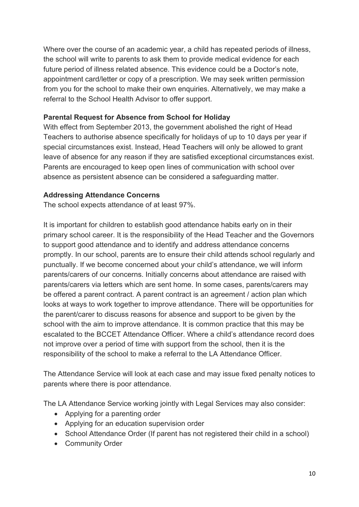Where over the course of an academic year, a child has repeated periods of illness, the school will write to parents to ask them to provide medical evidence for each future period of illness related absence. This evidence could be a Doctor's note, appointment card/letter or copy of a prescription. We may seek written permission from you for the school to make their own enquiries. Alternatively, we may make a referral to the School Health Advisor to offer support.

#### **Parental Request for Absence from School for Holiday**

With effect from September 2013, the government abolished the right of Head Teachers to authorise absence specifically for holidays of up to 10 days per year if special circumstances exist. Instead, Head Teachers will only be allowed to grant leave of absence for any reason if they are satisfied exceptional circumstances exist. Parents are encouraged to keep open lines of communication with school over absence as persistent absence can be considered a safeguarding matter.

## **Addressing Attendance Concerns**

The school expects attendance of at least 97%.

It is important for children to establish good attendance habits early on in their primary school career. It is the responsibility of the Head Teacher and the Governors to support good attendance and to identify and address attendance concerns promptly. In our school, parents are to ensure their child attends school regularly and punctually. If we become concerned about your child's attendance, we will inform parents/carers of our concerns. Initially concerns about attendance are raised with parents/carers via letters which are sent home. In some cases, parents/carers may be offered a parent contract. A parent contract is an agreement / action plan which looks at ways to work together to improve attendance. There will be opportunities for the parent/carer to discuss reasons for absence and support to be given by the school with the aim to improve attendance. It is common practice that this may be escalated to the BCCET Attendance Officer. Where a child's attendance record does not improve over a period of time with support from the school, then it is the responsibility of the school to make a referral to the LA Attendance Officer.

The Attendance Service will look at each case and may issue fixed penalty notices to parents where there is poor attendance.

The LA Attendance Service working jointly with Legal Services may also consider:

- Applying for a parenting order
- Applying for an education supervision order
- School Attendance Order (If parent has not registered their child in a school)
- Community Order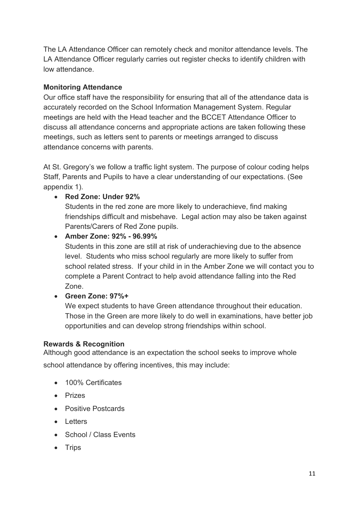The LA Attendance Officer can remotely check and monitor attendance levels. The LA Attendance Officer regularly carries out register checks to identify children with low attendance.

## **Monitoring Attendance**

Our office staff have the responsibility for ensuring that all of the attendance data is accurately recorded on the School Information Management System. Regular meetings are held with the Head teacher and the BCCET Attendance Officer to discuss all attendance concerns and appropriate actions are taken following these meetings, such as letters sent to parents or meetings arranged to discuss attendance concerns with parents*.*

At St. Gregory's we follow a traffic light system. The purpose of colour coding helps Staff, Parents and Pupils to have a clear understanding of our expectations. (See appendix 1).

## • **Red Zone: Under 92%**

Students in the red zone are more likely to underachieve, find making friendships difficult and misbehave. Legal action may also be taken against Parents/Carers of Red Zone pupils.

## • **Amber Zone: 92% - 96.99%**

Students in this zone are still at risk of underachieving due to the absence level. Students who miss school regularly are more likely to suffer from school related stress. If your child in in the Amber Zone we will contact you to complete a Parent Contract to help avoid attendance falling into the Red Zone.

• **Green Zone: 97%+**

We expect students to have Green attendance throughout their education. Those in the Green are more likely to do well in examinations, have better job opportunities and can develop strong friendships within school.

## **Rewards & Recognition**

Although good attendance is an expectation the school seeks to improve whole school attendance by offering incentives, this may include:

- 100% Certificates
- Prizes
- Positive Postcards
- Letters
- School / Class Events
- Trips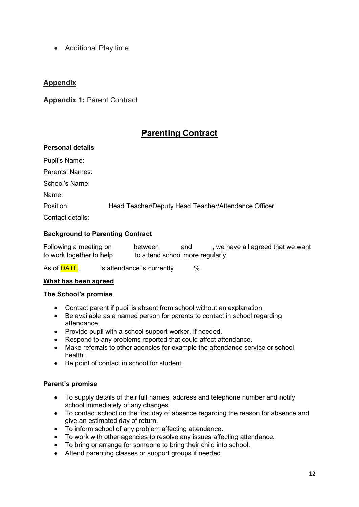• Additional Play time

#### **Appendix**

**Appendix 1:** Parent Contract

## **Parenting Contract**

#### **Personal details**

| Pupil's Name:    |                                                     |
|------------------|-----------------------------------------------------|
| Parents' Names:  |                                                     |
| School's Name:   |                                                     |
| Name:            |                                                     |
| Position:        | Head Teacher/Deputy Head Teacher/Attendance Officer |
| Contact details: |                                                     |
|                  |                                                     |

#### **Background to Parenting Contract**

Following a meeting on between and , we have all agreed that we want to work together to help to attend school more regularly.

As of **DATE**,  $\frac{1}{2}$  's attendance is currently  $\frac{1}{2}$  %.

#### **What has been agreed**

#### **The School's promise**

- Contact parent if pupil is absent from school without an explanation.
- Be available as a named person for parents to contact in school regarding attendance.
- Provide pupil with a school support worker, if needed.
- Respond to any problems reported that could affect attendance.
- Make referrals to other agencies for example the attendance service or school health.
- Be point of contact in school for student.

#### **Parent's promise**

- To supply details of their full names, address and telephone number and notify school immediately of any changes.
- To contact school on the first day of absence regarding the reason for absence and give an estimated day of return.
- To inform school of any problem affecting attendance.
- To work with other agencies to resolve any issues affecting attendance.
- To bring or arrange for someone to bring their child into school.
- Attend parenting classes or support groups if needed.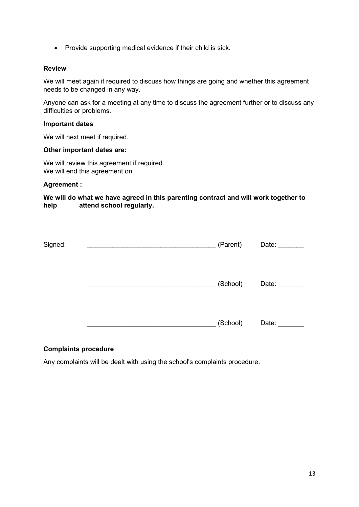• Provide supporting medical evidence if their child is sick.

#### **Review**

We will meet again if required to discuss how things are going and whether this agreement needs to be changed in any way.

Anyone can ask for a meeting at any time to discuss the agreement further or to discuss any difficulties or problems.

#### **Important dates**

We will next meet if required.

#### **Other important dates are:**

We will review this agreement if required. We will end this agreement on

#### **Agreement :**

**We will do what we have agreed in this parenting contract and will work together to help attend school regularly.**

| Signed: | (Parent) | Date: |
|---------|----------|-------|
|         |          |       |
|         |          |       |
|         |          |       |
|         | (School) | Date: |
|         |          |       |
|         |          |       |
|         | (School) | Date: |
|         |          |       |

#### **Complaints procedure**

Any complaints will be dealt with using the school's complaints procedure.